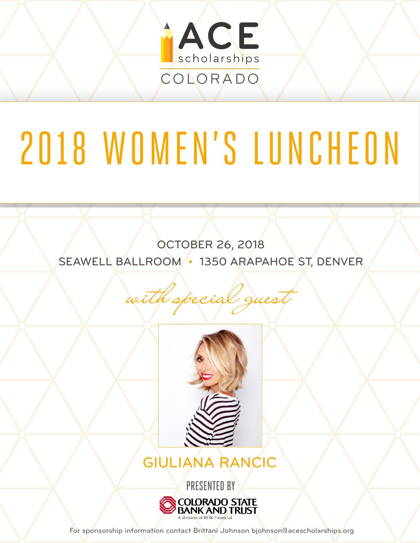

# 2018 WOMEN'S LUNCHEON

OCTOBER 26, 2018 SEAWELL BALLROOM • 1350 ARAPAHOE ST, DENVER

with special guest



GIULIANA RANCIC



For sponsorship information contact Brittani Johnson bjohnson@acescholarships.org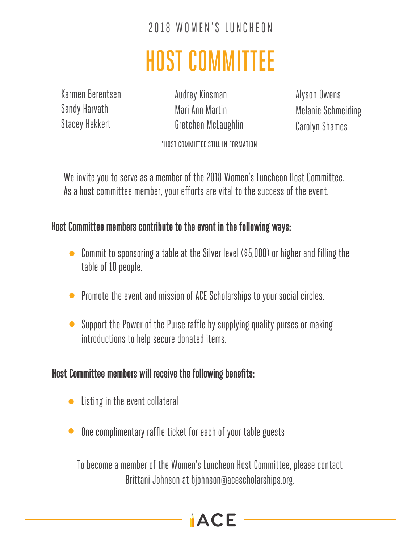# HOST COMMITTEE

Karmen Berentsen Sandy Harvath Stacey Hekkert

Audrey Kinsman Mari Ann Martin Gretchen McLaughlin Alyson Owens Melanie Schmeiding Carolyn Shames

\*HOST COMMITTEE STILL IN FORMATION

We invite you to serve as a member of the 2018 Women's Luncheon Host Committee. As a host committee member, your efforts are vital to the success of the event.

#### **H**ost Committee members contribute to the event in the following ways:

- Commit to sponsoring a table at the Silver level (\$5,000) or higher and filling the **•** table of 10 people.
- Promote the event and mission of ACE Scholarships to your social circles. **•**
- Support the Power of the Purse raffle by supplying quality purses or making introductions to help secure donated items. **•**

#### Host Committee members will receive the following benefits:

- Listing in the event collateral **•**
- One complimentary raffle ticket for each of your table guests **•**

To become a member of the Women's Luncheon Host Committee, please contact Brittani Johnson at bjohnson@acescholarships.org.

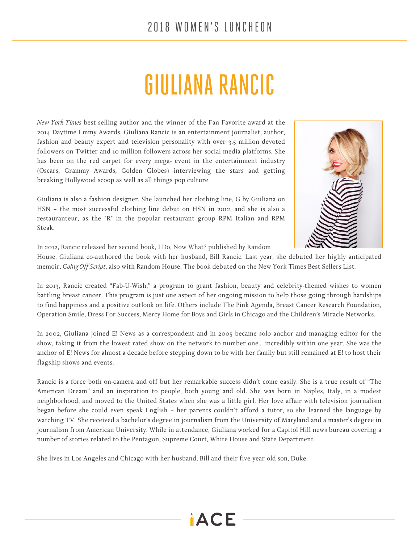#### 2018 WOMEN'S LUNCHEON

# GIULIANA RANCIC

*New York Times* best-selling author and the winner of the Fan Favorite award at the 2014 Daytime Emmy Awards, Giuliana Rancic is an entertainment journalist, author, fashion and beauty expert and television personality with over 3.5 million devoted followers on Twitter and 10 million followers across her social media platforms. She has been on the red carpet for every mega- event in the entertainment industry (Oscars, Grammy Awards, Golden Globes) interviewing the stars and getting breaking Hollywood scoop as well as all things pop culture.

Giuliana is also a fashion designer. She launched her clothing line, G by Giuliana on HSN – the most successful clothing line debut on HSN in 2012, and she is also a restauranteur, as the "R" in the popular restaurant group RPM Italian and RPM Steak.



In 2012, Rancic released her second book, I Do, Now What? published by Random

House. Giuliana co-authored the book with her husband, Bill Rancic. Last year, she debuted her highly anticipated memoir, *Going Off Script*, also with Random House. The book debuted on the New York Times Best Sellers List.

In 2013, Rancic created "Fab-U-Wish," a program to grant fashion, beauty and celebrity-themed wishes to women battling breast cancer. This program is just one aspect of her ongoing mission to help those going through hardships to find happiness and a positive outlook on life. Others include The Pink Agenda, Breast Cancer Research Foundation, Operation Smile, Dress For Success, Mercy Home for Boys and Girls in Chicago and the Children's Miracle Networks.

In 2002, Giuliana joined E! News as a correspondent and in 2005 became solo anchor and managing editor for the show, taking it from the lowest rated show on the network to number one... incredibly within one year. She was the anchor of E! News for almost a decade before stepping down to be with her family but still remained at E! to host their flagship shows and events.

Rancic is a force both on-camera and off but her remarkable success didn't come easily. She is a true result of "The American Dream" and an inspiration to people, both young and old. She was born in Naples, Italy, in a modest neighborhood, and moved to the United States when she was a little girl. Her love affair with television journalism began before she could even speak English – her parents couldn't afford a tutor, so she learned the language by watching TV. She received a bachelor's degree in journalism from the University of Maryland and a master's degree in journalism from American University. While in attendance, Giuliana worked for a Capitol Hill news bureau covering a number of stories related to the Pentagon, Supreme Court, White House and State Department.

 $\mathbf{ACE}$ 

She lives in Los Angeles and Chicago with her husband, Bill and their five-year-old son, Duke.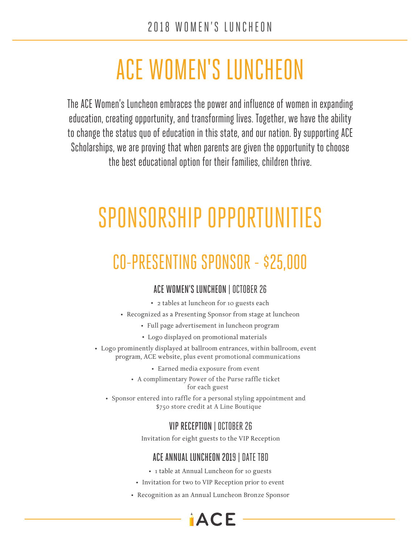# ACE WOMEN'S LUNCHEON

The ACE Women's Luncheon embraces the power and influence of women in expanding education, creating opportunity, and transforming lives. Together, we have the ability to change the status quo of education in this state, and our nation. By supporting ACE Scholarships, we are proving that when parents are given the opportunity to choose the best educational option for their families, children thrive.

# SPONSORSHIP OPPORTUNITIES

## CO-PRESENTING SPONSOR - \$25,000

#### ACE WOMEN'S LUNCHEON | OCTOBER 26

- 2 tables at luncheon for 10 guests each
- Recognized as a Presenting Sponsor from stage at luncheon
	- Full page advertisement in luncheon program
	- Logo displayed on promotional materials
- Logo prominently displayed at ballroom entrances, within ballroom, event program, ACE website, plus event promotional communications
	- Earned media exposure from event
	- A complimentary Power of the Purse raffle ticket for each guest
	- Sponsor entered into raffle for a personal styling appointment and \$750 store credit at A Line Boutique

#### VIP RECEPTION | OCTOBER 26

Invitation for eight guests to the VIP Reception

#### ACE ANNUAL LUNCHEON 2019 | DATE TBD

- 1 table at Annual Luncheon for 10 guests
- Invitation for two to VIP Reception prior to event
- Recognition as an Annual Luncheon Bronze Sponsor

AC.